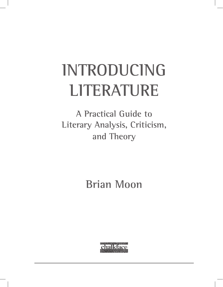# **INTRODUCING LITERATURE**

**A Practical Guide to Literary Analysis, Criticism, and Theory**

**Brian Moon**

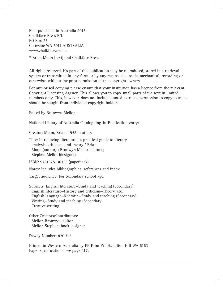First published in Australia 2016 Chalkface Press P/L PO Box 23 Cottesloe WA 6011 AUSTRALIA www.chalkface.net.au

© Brian Moon [text] and Chalkface Press

All rights reserved. No part of this publication may be reproduced, stored in a retrieval system or transmitted in any form or by any means, electronic, mechanical, recording or otherwise, without the prior permission of the copyright owners.

For authorised copying please ensure that your institution has a licence from the relevant Copyright Licensing Agency. This allows you to copy small parts of the text in limited numbers only. This, however, does not include quoted extracts: permission to copy extracts should be sought from individual copyright holders.

Edited by Bronwyn Mellor

National Library of Australia Cataloguing-in-Publication entry:

Creator: Moon, Brian, 1958– author.

Title: Introducing literature : a practical guide to literary analysis, criticism, and theory / Brian Moon (author) ; Bronwyn Mellor (editor) ; Stephen Mellor (designer).

ISBN: 9781875136353 (paperback)

Notes: Includes bibliographical references and index.

Target audience: For Secondary school age.

Subjects: English literature—Study and teaching (Secondary) English literature—History and criticism—Theory, etc. English language—Rhetoric—Study and teaching (Secondary) Writing—Study and teaching (Secondary) Creative writing.

Other Creators/Contributors: Mellor, Bronwyn, editor. Mellor, Stephen, book designer.

Dewey Number: 820.712

Printed in Western Australia by PK Print P/L Hamilton Hill WA 6163 Paper specifications: see page 217.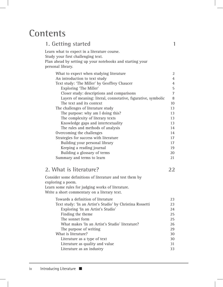## **Contents**

| 1                                                             |
|---------------------------------------------------------------|
|                                                               |
|                                                               |
|                                                               |
|                                                               |
| $\overline{2}$                                                |
| $\overline{4}$                                                |
| 4                                                             |
| 5                                                             |
| $\overline{7}$                                                |
| 8                                                             |
| 10                                                            |
| 13                                                            |
| 13                                                            |
| 13                                                            |
| 13                                                            |
| 14                                                            |
| 14                                                            |
| 17                                                            |
| 17                                                            |
| 19                                                            |
| 20                                                            |
| 21                                                            |
|                                                               |
| 22                                                            |
|                                                               |
|                                                               |
|                                                               |
|                                                               |
| 23                                                            |
| 23                                                            |
| 24                                                            |
| 25                                                            |
| 25                                                            |
| Layers of meaning: literal, connotative, figurative, symbolic |

 What makes 'In an Artist's Studio' literature? 26 The purpose of writing 29 What is literature? 30 Literature as a type of text 30 Literature as quality and value 31 Literature as an industry 33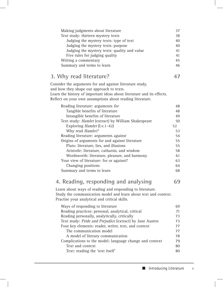| Making judgments about literature                                                                                                                                             | 37 |
|-------------------------------------------------------------------------------------------------------------------------------------------------------------------------------|----|
| Text study: thirteen mystery texts                                                                                                                                            | 38 |
| Judging the mystery texts: type of text                                                                                                                                       | 40 |
| Judging the mystery texts: purpose                                                                                                                                            | 40 |
| Judging the mystery texts: quality and value                                                                                                                                  | 41 |
| Five rules for judging quality                                                                                                                                                | 41 |
| Writing a commentary                                                                                                                                                          | 45 |
| Summary and terms to learn                                                                                                                                                    | 46 |
| 3. Why read literature?                                                                                                                                                       | 47 |
| Consider the arguments for and against literature study,                                                                                                                      |    |
| and how they shape our approach to texts.                                                                                                                                     |    |
| Learn the history of important ideas about literature and its effects.                                                                                                        |    |
| Reflect on your own assumptions about reading literature.                                                                                                                     |    |
|                                                                                                                                                                               |    |
| Reading literature: arguments for                                                                                                                                             | 48 |
| Tangible benefits of literature                                                                                                                                               | 48 |
| Intangible benefits of literature                                                                                                                                             | 49 |
| Text study: Hamlet (extract) by William Shakespeare                                                                                                                           | 50 |
| Exploring Hamlet (I.v.1-42)                                                                                                                                                   | 52 |
| Why read <i>Hamlet?</i>                                                                                                                                                       | 53 |
| Reading literature: arguments against                                                                                                                                         | 54 |
| Origins of arguments for and against literature                                                                                                                               | 55 |
| Plato: literature, lies, and illusions                                                                                                                                        | 55 |
| Aristotle: literature, catharsis, and wisdom                                                                                                                                  | 58 |
| Wordsworth: literature, pleasure, and harmony                                                                                                                                 | 61 |
| Your view of literature: for or against?                                                                                                                                      | 63 |
| Changing positions                                                                                                                                                            | 64 |
| Summary and terms to learn                                                                                                                                                    | 68 |
| 4. Reading, responding and analysing                                                                                                                                          | 69 |
| Learn about ways of reading and responding to literature.<br>Study the communication model and learn about text and context.<br>Practise your analytical and critical skills. |    |
| Ways of responding to literature                                                                                                                                              | 69 |
| Reading practices: personal, analytical, critical                                                                                                                             | 71 |
| Reading personally, analytically, critically                                                                                                                                  | 73 |
| Text study: Pride and Prejudice (extract) by Jane Austen                                                                                                                      | 73 |
| Four key elements: reader, writer, text, and context                                                                                                                          | 77 |
| The communication model                                                                                                                                                       | 77 |
| A model of literary communication                                                                                                                                             | 78 |
| Complications to the model: language change and context                                                                                                                       | 79 |
| Text and context                                                                                                                                                              | 80 |
| Text: reading the 'text itself'                                                                                                                                               | 80 |
|                                                                                                                                                                               |    |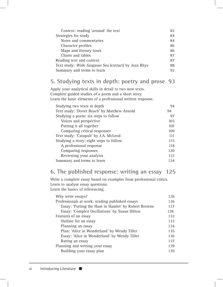| Context: reading 'around' the text                   | 82 |
|------------------------------------------------------|----|
| Strategies for study                                 | 84 |
| Notes and commentaries                               | 84 |
| Character profiles                                   | 86 |
| Maps and literary tours                              | 86 |
| Charts and tables                                    | 87 |
| Reading text and context                             | 87 |
| Text study: Wide Sargasso Sea (extract) by Jean Rhys | 88 |
| Summary and terms to learn                           | 92 |

#### **5. Studying texts in depth: poetry and prose 93**

 Apply your analytical skills in detail to two new texts. Complete guided studies of a poem and a short story. Learn the basic elements of a professional written response.

| Studying two texts in depth                 | 94  |
|---------------------------------------------|-----|
| Text study: 'Dover Beach' by Matthew Arnold | 94  |
| Studying a poem: six steps to follow        | 97  |
| Voices and perspective                      | 103 |
| Putting it all together                     | 107 |
| Comparing critical responses                | 109 |
| Text study: 'Catapult' by J.A. McLeod       | 111 |
| Studying a story: eight steps to follow     | 115 |
| A professional response                     | 118 |
| Comparing responses                         | 120 |
| Reviewing your analysis                     | 121 |
| Summary and terms to learn                  | 124 |

### **6. The published response: writing an essay 125**

Write a complete essay based on examples from professional critics. Learn to analyse essay questions. Learn the basics of referencing.

| Why write essays?                                   | 126 |
|-----------------------------------------------------|-----|
| Professionals at work: reading published essays     | 126 |
| Essay: 'Putting the Ham in Hamlet' by Robert Browne | 127 |
| Essay: 'Complex Oscillations' by Susan Hilton       | 128 |
| Features of an essay                                | 132 |
| Outline for an essay                                | 133 |
| Planning an essay                                   | 134 |
| Plan: 'Alice in Wonderland' by Wendy Tiller         | 135 |
| Essay: 'Alice in Wonderland' by Wendy Tiller        | 136 |
| Rating an essay                                     | 137 |
| Planning and writing your essay                     | 139 |
| Building your essay plan                            | 139 |
|                                                     |     |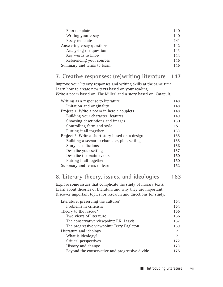| Plan template              | 140 |
|----------------------------|-----|
| Writing your essay         | 140 |
| Essay template             | 141 |
| Answering essay questions  | 142 |
| Analysing the question     | 143 |
| Key words to know          | 144 |
| Referencing your sources   | 146 |
| Summary and terms to learn | 146 |
|                            |     |

#### **7. Creative responses: (re)writing literature 147**

Improve your literary responses and writing skills at the same time. Learn how to create new texts based on your reading. Write a poem based on 'The Miller' and a story based on 'Catapult.'

| Writing as a response to literature              | 148 |
|--------------------------------------------------|-----|
| Imitation and originality                        | 148 |
| Project 1: Write a poem in heroic couplets       | 148 |
| Building your character: features                | 149 |
| Choosing descriptions and images                 | 150 |
| Controlling form and style                       | 151 |
| Putting it all together                          | 153 |
| Project 2: Write a short story based on a design | 155 |
| Building a scenario: character, plot, setting    | 155 |
| Story substitutions                              | 156 |
| Describe your setting                            | 157 |
| Describe the main events                         | 160 |
| Putting it all together                          | 160 |
| Summary and terms to learn                       | 162 |
|                                                  |     |

#### **8. Literary theory, issues, and ideologies 163**

Explore some issues that complicate the study of literary texts. Learn about theories of literature and why they are important. Discover important topics for research and directions for study.

| Literature: preserving the culture?            | 164 |
|------------------------------------------------|-----|
| Problems in criticism                          | 164 |
| Theory to the rescue?                          | 166 |
| Two views of literature                        | 166 |
| The conservative viewpoint: F.R. Leavis        | 167 |
| The progressive viewpoint: Terry Eagleton      | 169 |
| Literature and ideology                        | 171 |
| What is ideology?                              | 171 |
| Critical perspectives                          | 172 |
| History and change                             | 173 |
| Beyond the conservative and progressive divide | 175 |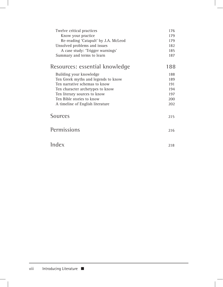| Twelve critical practices             | 176 |
|---------------------------------------|-----|
| Know your practice                    | 179 |
| Re-reading 'Catapult' by J.A. McLeod  | 179 |
| Unsolved problems and issues          | 182 |
| A case study: 'Trigger warnings'      | 185 |
| Summary and terms to learn            | 187 |
| <b>Resources: essential knowledge</b> | 188 |
| Building your knowledge               | 188 |
| Ten Greek myths and legends to know   | 189 |
| Ten narrative schemas to know         | 191 |
| Ten character archetypes to know      | 194 |
| Ten literary sources to know          | 197 |
| Ten Bible stories to know             | 200 |
| A timeline of English literature      | 202 |
| <b>Sources</b>                        |     |
|                                       | 215 |
| <b>Permissions</b>                    | 216 |
|                                       |     |
| <b>Index</b>                          | 218 |
|                                       |     |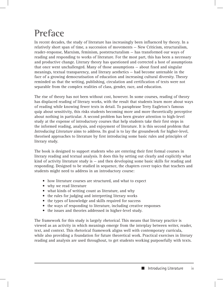## **Preface**

In recent decades, the study of literature has increasingly been influenced by theory. In a relatively short span of time, a succession of movements — New Criticism, structuralism, reader-response, Marxism, feminism, poststructuralism — has transformed our ways of reading and responding to works of literature. For the most part, this has been a necessary and productive change. Literary theory has questioned and corrected a host of assumptions that once went unchallenged. Many of those assumptions — about fixed and singular meanings, textual transparency, and literary aesthetics — had become untenable in the face of a growing democratisation of education and increasing cultural diversity. Theory reminded us that the writing, publishing, circulation and certification of texts were not separable from the complex realities of class, gender, race, and education.

The rise of theory has not been without cost, however. In some courses, reading of theory has displaced reading of literary works, with the result that students learn more about ways of reading while knowing fewer texts in detail. To paraphrase Terry Eagleton's famous quip about sensitivity, this risks students becoming more and more theoretically perceptive about nothing in particular. A second problem has been greater attention to high-level study at the expense of introductory courses that help students take their first steps in the informed reading, analysis, and enjoyment of literature. It is this second problem that Introducing Literature aims to address. Its goal is to lay the groundwork for higher-level, theorised approaches to literature by first introducing some basic rules and principles of literary study.

The book is designed to support students who are entering their first formal courses in literary reading and textual analysis. It does this by setting out clearly and explicitly what kind of activity literature study is — and then developing some basic skills for reading and responding. Designed to be studied in sequence, the chapters cover topics that teachers and students might need to address in an introductory course:

- how literature courses are structured, and what to expect
- why we read literature
- what kinds of writing count as literature, and why
- the rules for judging and interpreting literary works
- the types of knowledge and skills required for success
- the ways of responding to literature, including creative responses
- the issues and theories addressed in higher-level study.

The framework for this study is largely *rhetorical*. This means that literary practice is viewed as an activity in which meanings emerge from the interplay between writer, reader, text, and context. This rhetorical framework aligns well with contemporary curricula, while also providing a foundation for future theoretical work. Practical exercises in literary reading and analysis are used throughout, to get students working purposefully with texts.